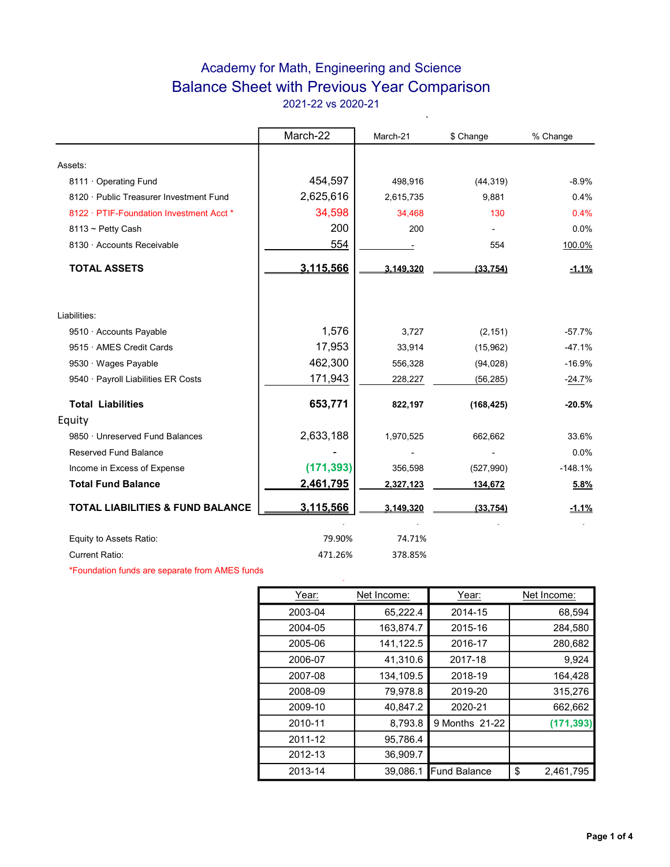## Academy for Math, Engineering and Science Balance Sheet with Previous Year Comparison 2021-22 vs 2020-21

 $\ddot{\phantom{0}}$ 

|                                             | March-22   | March-21  | \$ Change  | % Change  |
|---------------------------------------------|------------|-----------|------------|-----------|
|                                             |            |           |            |           |
| Assets:                                     |            |           |            |           |
| 8111 Operating Fund                         | 454,597    | 498,916   | (44, 319)  | $-8.9%$   |
| 8120 · Public Treasurer Investment Fund     | 2,625,616  | 2,615,735 | 9,881      | 0.4%      |
| 8122 · PTIF-Foundation Investment Acct *    | 34,598     | 34,468    | 130        | 0.4%      |
| 8113 ~ Petty Cash                           | 200        | 200       |            | 0.0%      |
| 8130 · Accounts Receivable                  | 554        |           | 554        | 100.0%    |
| <b>TOTAL ASSETS</b>                         | 3,115,566  | 3.149.320 | (33, 754)  | $-1.1%$   |
| Liabilities:                                |            |           |            |           |
|                                             | 1,576      |           |            |           |
| 9510 · Accounts Payable                     |            | 3,727     | (2, 151)   | $-57.7%$  |
| 9515 · AMES Credit Cards                    | 17,953     | 33,914    | (15,962)   | $-47.1%$  |
| 9530 · Wages Payable                        | 462,300    | 556,328   | (94, 028)  | $-16.9%$  |
| 9540 · Payroll Liabilities ER Costs         | 171,943    | 228,227   | (56, 285)  | $-24.7%$  |
| <b>Total Liabilities</b>                    | 653,771    | 822,197   | (168, 425) | $-20.5%$  |
| Equity                                      |            |           |            |           |
| 9850 · Unreserved Fund Balances             | 2,633,188  | 1,970,525 | 662,662    | 33.6%     |
| <b>Reserved Fund Balance</b>                |            |           |            | 0.0%      |
| Income in Excess of Expense                 | (171, 393) | 356,598   | (527, 990) | $-148.1%$ |
| <b>Total Fund Balance</b>                   | 2,461,795  | 2,327,123 | 134,672    | 5.8%      |
| <b>TOTAL LIABILITIES &amp; FUND BALANCE</b> | 3,115,566  | 3,149,320 | (33, 754)  | $-1.1%$   |
| Equity to Assets Ratio:                     | 79.90%     | 74.71%    |            |           |
| <b>Current Ratio:</b>                       | 471.26%    | 378.85%   |            |           |

\*Foundation funds are separate from AMES funds

| Net Income:<br>Year: |           | Year:               | Net Income:     |  |  |
|----------------------|-----------|---------------------|-----------------|--|--|
| 2003-04              | 65,222.4  | 2014-15             | 68,594          |  |  |
| 2004-05              | 163,874.7 | 2015-16             | 284,580         |  |  |
| 2005-06              | 141,122.5 | 2016-17             | 280,682         |  |  |
| 2006-07              | 41,310.6  | 2017-18             | 9,924           |  |  |
| 2007-08              | 134,109.5 | 2018-19             | 164,428         |  |  |
| 2008-09              | 79,978.8  | 2019-20             | 315,276         |  |  |
| 2009-10              | 40,847.2  | 2020-21             | 662,662         |  |  |
| 2010-11              | 8,793.8   | 9 Months 21-22      | (171, 393)      |  |  |
| 2011-12              | 95,786.4  |                     |                 |  |  |
| 2012-13              | 36,909.7  |                     |                 |  |  |
| 2013-14              | 39,086.1  | <b>Fund Balance</b> | \$<br>2,461,795 |  |  |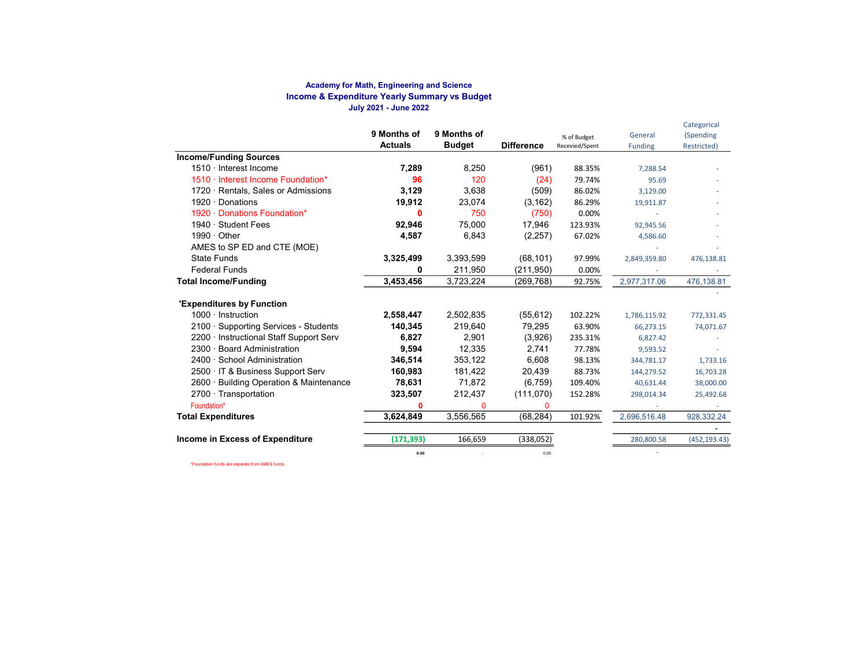#### Academy for Math, Engineering and Science Income & Expenditure Yearly Summary vs Budget July 2021 - June 2022

|                                         | 9 Months of<br><b>Actuals</b> | 9 Months of<br><b>Budget</b> | <b>Difference</b> | % of Budget<br>Recevied/Spent | General<br><b>Funding</b> | Categorical<br>(Spending<br>Restricted) |
|-----------------------------------------|-------------------------------|------------------------------|-------------------|-------------------------------|---------------------------|-----------------------------------------|
| <b>Income/Funding Sources</b>           |                               |                              |                   |                               |                           |                                         |
| 1510 · Interest Income                  | 7,289                         | 8.250                        | (961)             | 88.35%                        | 7,288.54                  |                                         |
| 1510 · Interest Income Foundation*      | 96                            | 120                          | (24)              | 79.74%                        | 95.69                     |                                         |
| 1720 · Rentals, Sales or Admissions     | 3,129                         | 3,638                        | (509)             | 86.02%                        | 3,129.00                  |                                         |
| 1920 $\cdot$ Donations                  | 19,912                        | 23,074                       | (3, 162)          | 86.29%                        | 19,911.87                 |                                         |
| 1920 · Donations Foundation*            | 0                             | 750                          | (750)             | 0.00%                         |                           |                                         |
| 1940 · Student Fees                     | 92,946                        | 75.000                       | 17,946            | 123.93%                       | 92,945.56                 |                                         |
| $1990 \cdot$ Other                      | 4,587                         | 6,843                        | (2, 257)          | 67.02%                        | 4,586.60                  |                                         |
| AMES to SP ED and CTE (MOE)             |                               |                              |                   |                               |                           |                                         |
| <b>State Funds</b>                      | 3,325,499                     | 3,393,599                    | (68, 101)         | 97.99%                        | 2,849,359.80              | 476,138.81                              |
| <b>Federal Funds</b>                    | 0                             | 211,950                      | (211, 950)        | 0.00%                         |                           |                                         |
| <b>Total Income/Funding</b>             | 3,453,456                     | 3,723,224                    | (269, 768)        | 92.75%                        | 2,977,317.06              | 476,138.81                              |
| <b>'Expenditures by Function</b>        |                               |                              |                   |                               |                           |                                         |
| $1000 \cdot$ Instruction                | 2,558,447                     | 2,502,835                    | (55, 612)         | 102.22%                       | 1,786,115.92              | 772,331.45                              |
| 2100 · Supporting Services - Students   | 140,345                       | 219,640                      | 79,295            | 63.90%                        | 66,273.15                 | 74,071.67                               |
| 2200 · Instructional Staff Support Serv | 6,827                         | 2.901                        | (3,926)           | 235.31%                       | 6,827.42                  |                                         |
| 2300 · Board Administration             | 9,594                         | 12.335                       | 2,741             | 77.78%                        | 9,593.52                  |                                         |
| 2400 · School Administration            | 346,514                       | 353,122                      | 6,608             | 98.13%                        | 344,781.17                | 1,733.16                                |
| 2500 · IT & Business Support Serv       | 160,983                       | 181,422                      | 20,439            | 88.73%                        | 144,279.52                | 16,703.28                               |
| 2600 · Building Operation & Maintenance | 78,631                        | 71,872                       | (6,759)           | 109.40%                       | 40,631.44                 | 38,000.00                               |
| $2700 \cdot$ Transportation             | 323,507                       | 212,437                      | (111,070)         | 152.28%                       | 298,014.34                | 25,492.68                               |
| Foundation*                             | 0                             | 0                            | $\Omega$          |                               |                           |                                         |
| <b>Total Expenditures</b>               | 3,624,849                     | 3,556,565                    | (68, 284)         | 101.92%                       | 2,696,516.48              | 928,332.24                              |
|                                         |                               |                              |                   |                               |                           |                                         |
| <b>Income in Excess of Expenditure</b>  | (171, 393)                    | 166,659                      | (338,052)         |                               | 280,800.58                | (452, 193.43)                           |
|                                         | 0.00                          |                              | 0.00              |                               |                           |                                         |

\*Foundation funds are separate from AMES funds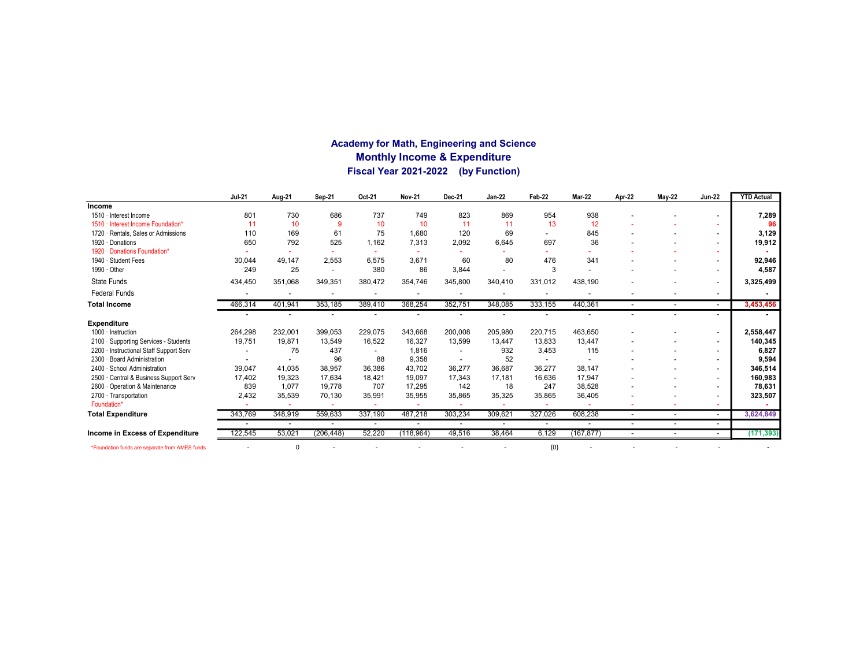### Academy for Math, Engineering and Science Monthly Income & Expenditure Fiscal Year 2021-2022 (by Function)

|                                                | <b>Jul-21</b> | Aug-21   | Sep-21                   | Oct-21  | <b>Nov-21</b> | Dec-21  | <b>Jan-22</b> | Feb-22  | <b>Mar-22</b> | Apr-22                   | <b>May-22</b>            | <b>Jun-22</b>            | <b>YTD Actual</b> |
|------------------------------------------------|---------------|----------|--------------------------|---------|---------------|---------|---------------|---------|---------------|--------------------------|--------------------------|--------------------------|-------------------|
| <b>Income</b>                                  |               |          |                          |         |               |         |               |         |               |                          |                          |                          |                   |
| 1510 · Interest Income                         | 801           | 730      | 686                      | 737     | 749           | 823     | 869           | 954     | 938           |                          |                          |                          | 7,289             |
| Interest Income Foundation*<br>$1510 -$        | 11            | 10       | 9                        | 10      | 10            | 11      | 11            | 13      | 12            |                          |                          |                          | 96                |
| Rentals, Sales or Admissions<br>$1720 -$       | 110           | 169      | 61                       | 75      | 1,680         | 120     | 69            |         | 845           |                          |                          | $\overline{\phantom{a}}$ | 3,129             |
| 1920 · Donations                               | 650           | 792      | 525                      | 1,162   | 7,313         | 2,092   | 6,645         | 697     | 36            |                          |                          | $\overline{\phantom{a}}$ | 19,912            |
| Donations Foundation*<br>1920                  |               |          |                          |         |               |         |               |         |               |                          |                          |                          |                   |
| 1940 · Student Fees                            | 30,044        | 49.147   | 2,553                    | 6.575   | 3,671         | 60      | 80            | 476     | 341           |                          |                          |                          | 92,946            |
| 1990 · Other                                   | 249           | 25       | $\overline{\phantom{a}}$ | 380     | 86            | 3,844   |               | 3       |               |                          |                          | $\overline{\phantom{a}}$ | 4,587             |
| State Funds                                    | 434,450       | 351,068  | 349,351                  | 380,472 | 354,746       | 345,800 | 340,410       | 331,012 | 438,190       |                          |                          | $\overline{a}$           | 3,325,499         |
| <b>Federal Funds</b>                           |               |          |                          |         |               |         |               |         |               |                          |                          | $\overline{\phantom{a}}$ |                   |
| <b>Total Income</b>                            | 466,314       | 401,941  | 353,185                  | 389,410 | 368,254       | 352,751 | 348,085       | 333,155 | 440,361       |                          |                          | $\overline{\phantom{a}}$ | 3,453,456         |
|                                                |               |          |                          |         |               |         |               |         |               |                          |                          | $\overline{a}$           |                   |
| <b>Expenditure</b>                             |               |          |                          |         |               |         |               |         |               |                          |                          |                          |                   |
| 1000 · Instruction                             | 264,298       | 232,001  | 399,053                  | 229,075 | 343,668       | 200,008 | 205,980       | 220,715 | 463.650       |                          |                          | $\overline{\phantom{a}}$ | 2,558,447         |
| 2100 · Supporting Services - Students          | 19,751        | 19,871   | 13,549                   | 16,522  | 16,327        | 13,599  | 13,447        | 13,833  | 13,447        |                          |                          |                          | 140,345           |
| Instructional Staff Support Serv<br>2200       |               | 75       | 437                      |         | 1,816         |         | 932           | 3,453   | 115           |                          |                          | $\overline{\phantom{a}}$ | 6,827             |
| $2300 -$<br><b>Board Administration</b>        |               |          | 96                       | 88      | 9,358         |         | 52            |         |               |                          |                          | $\overline{\phantom{a}}$ | 9,594             |
| 2400 · School Administration                   | 39,047        | 41,035   | 38,957                   | 36,386  | 43,702        | 36,277  | 36,687        | 36,277  | 38,147        |                          |                          | $\overline{a}$           | 346,514           |
| 2500 Central & Business Support Serv           | 17,402        | 19.323   | 17,634                   | 18,421  | 19.097        | 17,343  | 17.181        | 16.636  | 17,947        |                          |                          |                          | 160,983           |
| 2600 Operation & Maintenance                   | 839           | 1,077    | 19,778                   | 707     | 17.295        | 142     | 18            | 247     | 38,528        |                          |                          | $\overline{\phantom{a}}$ | 78,631            |
| 2700 · Transportation                          | 2,432         | 35,539   | 70,130                   | 35,991  | 35,955        | 35,865  | 35,325        | 35,865  | 36,405        |                          |                          |                          | 323,507           |
| Foundation*                                    |               |          |                          |         |               |         |               |         |               |                          |                          |                          |                   |
| <b>Total Expenditure</b>                       | 343,769       | 348,919  | 559,633                  | 337,190 | 487,218       | 303,234 | 309,621       | 327,026 | 608,238       | $\overline{\phantom{a}}$ | $\overline{\phantom{a}}$ | $\sim$                   | 3,624,849         |
|                                                |               |          |                          |         |               |         |               |         |               |                          |                          | $\overline{\phantom{a}}$ |                   |
| Income in Excess of Expenditure                | 122,545       | 53,021   | (206, 448)               | 52,220  | (118, 964)    | 49,516  | 38,464        | 6,129   | (167, 877)    |                          |                          | $\sim$                   | (171, 393)        |
| *Foundation funds are separate from AMES funds |               | $\Omega$ |                          |         |               |         |               | (0)     |               |                          |                          |                          |                   |